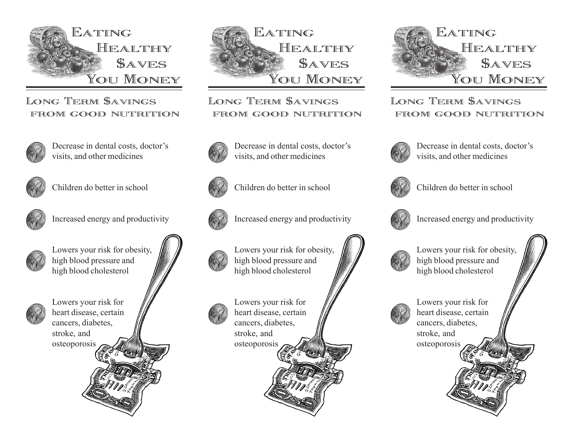

## LONG TERM SAVINGS FROM GOOD NUTRITION



Decrease in dental costs, doctor's visits, and other medicines



Children do better in school



Increased energy and productivity



Lowers your risk for obesity, high blood pressure and high blood cholesterol



Lowers your risk for heart disease, certain cancers, diabetes, stroke, and osteoporosis



LONG TERM SAVINGS FROM GOOD NUTRITION



Decrease in dental costs, doctor's visits, and other medicines



Children do better in school



Increased energy and productivity



Lowers your risk for obesity, high blood pressure and high blood cholesterol



Lowers your risk for heart disease, certain cancers, diabetes, stroke, and osteoporosis



LONG TERM SAVINGS from good nutrition



Decrease in dental costs, doctor's visits, and other medicines



Children do better in school



Increased energy and productivity



Lowers your risk for obesity, high blood pressure and high blood cholesterol



Lowers your risk for heart disease, certain cancers, diabetes, stroke, and osteoporosis